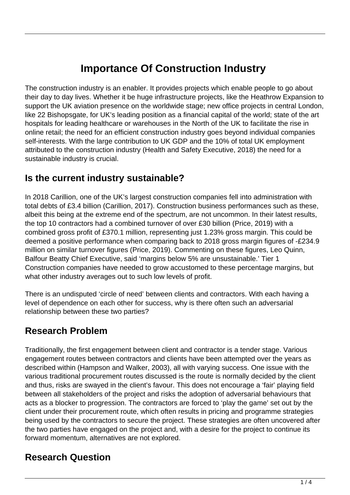# **Importance Of Construction Industry**

The construction industry is an enabler. It provides projects which enable people to go about their day to day lives. Whether it be huge infrastructure projects, like the Heathrow Expansion to support the UK aviation presence on the worldwide stage; new office projects in central London, like 22 Bishopsgate, for UK's leading position as a financial capital of the world; state of the art hospitals for leading healthcare or warehouses in the North of the UK to facilitate the rise in online retail; the need for an efficient construction industry goes beyond individual companies self-interests. With the large contribution to UK GDP and the 10% of total UK employment attributed to the construction industry (Health and Safety Executive, 2018) the need for a sustainable industry is crucial.

### **Is the current industry sustainable?**

In 2018 Carillion, one of the UK's largest construction companies fell into administration with total debts of £3.4 billion (Carillion, 2017). Construction business performances such as these, albeit this being at the extreme end of the spectrum, are not uncommon. In their latest results, the top 10 contractors had a combined turnover of over £30 billion (Price, 2019) with a combined gross profit of £370.1 million, representing just 1.23% gross margin. This could be deemed a positive performance when comparing back to 2018 gross margin figures of -£234.9 million on similar turnover figures (Price, 2019). Commenting on these figures, Leo Quinn, Balfour Beatty Chief Executive, said 'margins below 5% are unsustainable.' Tier 1 Construction companies have needed to grow accustomed to these percentage margins, but what other industry averages out to such low levels of profit.

There is an undisputed 'circle of need' between clients and contractors. With each having a level of dependence on each other for success, why is there often such an adversarial relationship between these two parties?

## **Research Problem**

Traditionally, the first engagement between client and contractor is a tender stage. Various engagement routes between contractors and clients have been attempted over the years as described within (Hampson and Walker, 2003), all with varying success. One issue with the various traditional procurement routes discussed is the route is normally decided by the client and thus, risks are swayed in the client's favour. This does not encourage a 'fair' playing field between all stakeholders of the project and risks the adoption of adversarial behaviours that acts as a blocker to progression. The contractors are forced to 'play the game' set out by the client under their procurement route, which often results in pricing and programme strategies being used by the contractors to secure the project. These strategies are often uncovered after the two parties have engaged on the project and, with a desire for the project to continue its forward momentum, alternatives are not explored.

# **Research Question**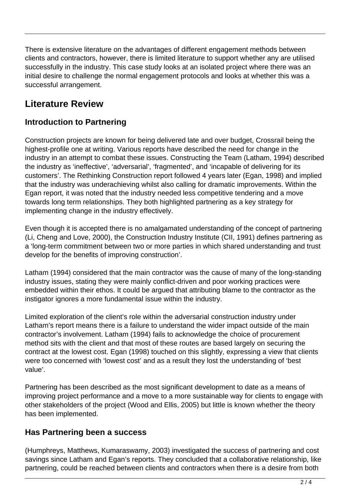There is extensive literature on the advantages of different engagement methods between clients and contractors, however, there is limited literature to support whether any are utilised successfully in the industry. This case study looks at an isolated project where there was an initial desire to challenge the normal engagement protocols and looks at whether this was a successful arrangement.

## **Literature Review**

#### **Introduction to Partnering**

Construction projects are known for being delivered late and over budget, Crossrail being the highest-profile one at writing. Various reports have described the need for change in the industry in an attempt to combat these issues. Constructing the Team (Latham, 1994) described the industry as 'ineffective', 'adversarial', 'fragmented', and 'incapable of delivering for its customers'. The Rethinking Construction report followed 4 years later (Egan, 1998) and implied that the industry was underachieving whilst also calling for dramatic improvements. Within the Egan report, it was noted that the industry needed less competitive tendering and a move towards long term relationships. They both highlighted partnering as a key strategy for implementing change in the industry effectively.

Even though it is accepted there is no amalgamated understanding of the concept of partnering (Li, Cheng and Love, 2000), the Construction Industry Institute (CII, 1991) defines partnering as a 'long-term commitment between two or more parties in which shared understanding and trust develop for the benefits of improving construction'.

Latham (1994) considered that the main contractor was the cause of many of the long-standing industry issues, stating they were mainly conflict-driven and poor working practices were embedded within their ethos. It could be argued that attributing blame to the contractor as the instigator ignores a more fundamental issue within the industry.

Limited exploration of the client's role within the adversarial construction industry under Latham's report means there is a failure to understand the wider impact outside of the main contractor's involvement. Latham (1994) fails to acknowledge the choice of procurement method sits with the client and that most of these routes are based largely on securing the contract at the lowest cost. Egan (1998) touched on this slightly, expressing a view that clients were too concerned with 'lowest cost' and as a result they lost the understanding of 'best value'.

Partnering has been described as the most significant development to date as a means of improving project performance and a move to a more sustainable way for clients to engage with other stakeholders of the project (Wood and Ellis, 2005) but little is known whether the theory has been implemented.

#### **Has Partnering been a success**

(Humphreys, Matthews, Kumaraswamy, 2003) investigated the success of partnering and cost savings since Latham and Egan's reports. They concluded that a collaborative relationship, like partnering, could be reached between clients and contractors when there is a desire from both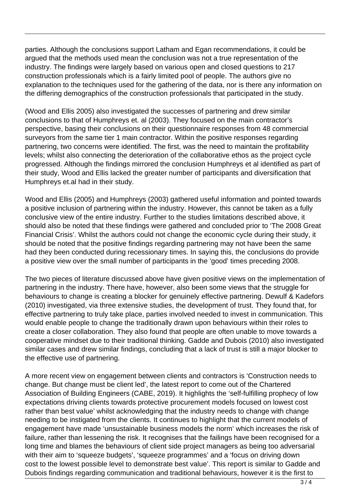parties. Although the conclusions support Latham and Egan recommendations, it could be argued that the methods used mean the conclusion was not a true representation of the industry. The findings were largely based on various open and closed questions to 217 construction professionals which is a fairly limited pool of people. The authors give no explanation to the techniques used for the gathering of the data, nor is there any information on the differing demographics of the construction professionals that participated in the study.

(Wood and Ellis 2005) also investigated the successes of partnering and drew similar conclusions to that of Humphreys et. al (2003). They focused on the main contractor's perspective, basing their conclusions on their questionnaire responses from 48 commercial surveyors from the same tier 1 main contractor. Within the positive responses regarding partnering, two concerns were identified. The first, was the need to maintain the profitability levels; whilst also connecting the deterioration of the collaborative ethos as the project cycle progressed. Although the findings mirrored the conclusion Humphreys et al identified as part of their study, Wood and Ellis lacked the greater number of participants and diversification that Humphreys et.al had in their study.

Wood and Ellis (2005) and Humphreys (2003) gathered useful information and pointed towards a positive inclusion of partnering within the industry. However, this cannot be taken as a fully conclusive view of the entire industry. Further to the studies limitations described above, it should also be noted that these findings were gathered and concluded prior to 'The 2008 Great Financial Crisis'. Whilst the authors could not change the economic cycle during their study, it should be noted that the positive findings regarding partnering may not have been the same had they been conducted during recessionary times. In saying this, the conclusions do provide a positive view over the small number of participants in the 'good' times preceding 2008.

The two pieces of literature discussed above have given positive views on the implementation of partnering in the industry. There have, however, also been some views that the struggle for behaviours to change is creating a blocker for genuinely effective partnering. Dewulf & Kadefors (2010) investigated, via three extensive studies, the development of trust. They found that, for effective partnering to truly take place, parties involved needed to invest in communication. This would enable people to change the traditionally drawn upon behaviours within their roles to create a closer collaboration. They also found that people are often unable to move towards a cooperative mindset due to their traditional thinking. Gadde and Dubois (2010) also investigated similar cases and drew similar findings, concluding that a lack of trust is still a major blocker to the effective use of partnering.

A more recent view on engagement between clients and contractors is 'Construction needs to change. But change must be client led', the latest report to come out of the Chartered Association of Building Engineers (CABE, 2019). It highlights the 'self-fulfilling prophecy of low expectations driving clients towards protective procurement models focused on lowest cost rather than best value' whilst acknowledging that the industry needs to change with change needing to be instigated from the clients. It continues to highlight that the current models of engagement have made 'unsustainable business models the norm' which increases the risk of failure, rather than lessening the risk. It recognises that the failings have been recognised for a long time and blames the behaviours of client side project managers as being too adversarial with their aim to 'squeeze budgets', 'squeeze programmes' and a 'focus on driving down cost to the lowest possible level to demonstrate best value'. This report is similar to Gadde and Dubois findings regarding communication and traditional behaviours, however it is the first to